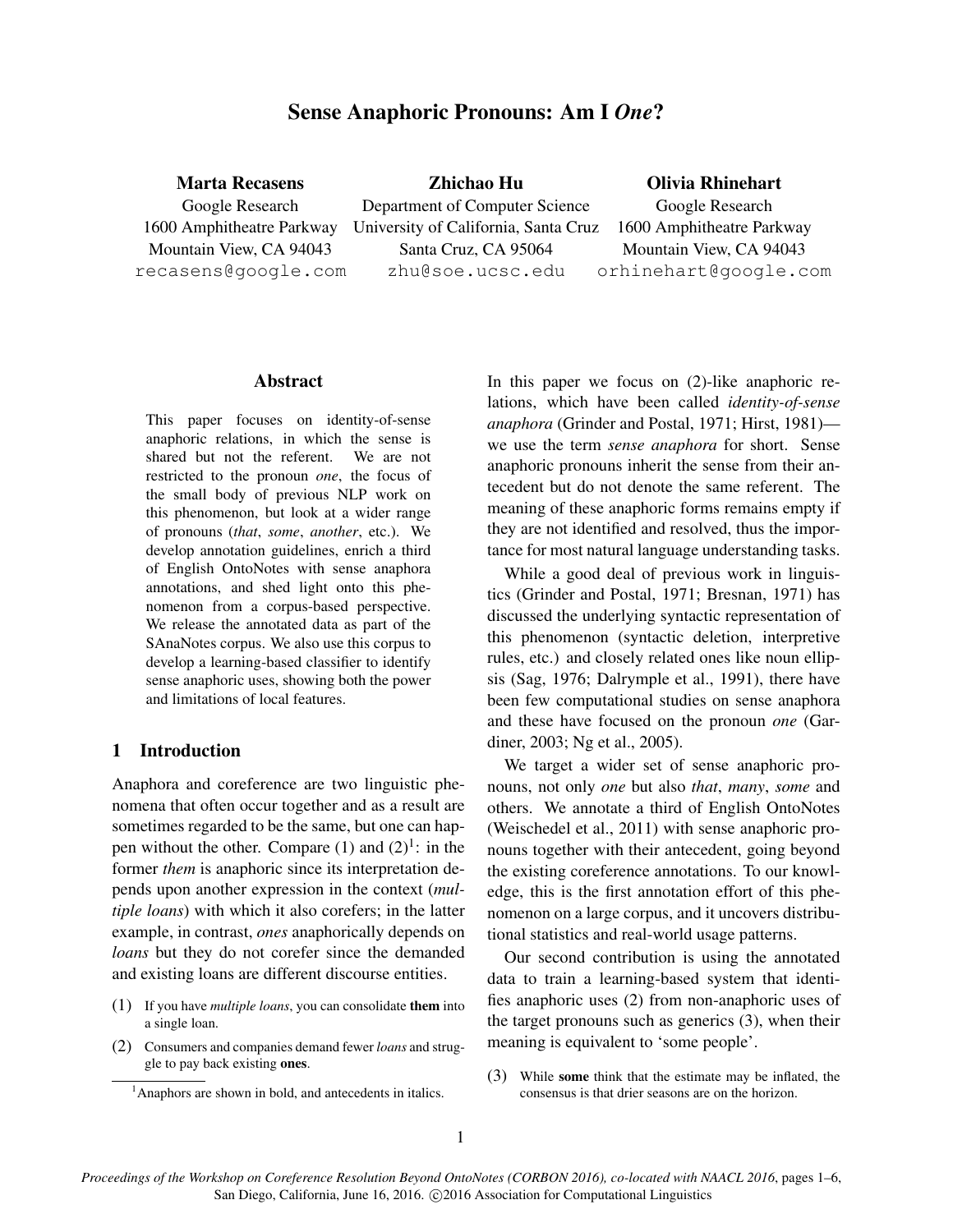# Sense Anaphoric Pronouns: Am I *One*?

| <b>Marta Recasens</b>     | Zhichao Hu                           | <b>Olivia Rhinehart</b>   |  |
|---------------------------|--------------------------------------|---------------------------|--|
| Google Research           | Department of Computer Science       | Google Research           |  |
| 1600 Amphitheatre Parkway | University of California, Santa Cruz | 1600 Amphitheatre Parkway |  |
| Mountain View, CA 94043   | Santa Cruz, CA 95064                 | Mountain View, CA 94043   |  |
| recasens@google.com       | zhu@soe.ucsc.edu                     | orhinehart@google.com     |  |
|                           |                                      |                           |  |

#### Abstract

This paper focuses on identity-of-sense anaphoric relations, in which the sense is shared but not the referent. We are not restricted to the pronoun *one*, the focus of the small body of previous NLP work on this phenomenon, but look at a wider range of pronouns (*that*, *some*, *another*, etc.). We develop annotation guidelines, enrich a third of English OntoNotes with sense anaphora annotations, and shed light onto this phenomenon from a corpus-based perspective. We release the annotated data as part of the SAnaNotes corpus. We also use this corpus to develop a learning-based classifier to identify sense anaphoric uses, showing both the power and limitations of local features.

### 1 Introduction

Anaphora and coreference are two linguistic phenomena that often occur together and as a result are sometimes regarded to be the same, but one can happen without the other. Compare  $(1)$  and  $(2)^{1}$ : in the former *them* is anaphoric since its interpretation depends upon another expression in the context (*multiple loans*) with which it also corefers; in the latter example, in contrast, *ones* anaphorically depends on *loans* but they do not corefer since the demanded and existing loans are different discourse entities.

- (1) If you have *multiple loans*, you can consolidate them into a single loan.
- (2) Consumers and companies demand fewer *loans* and struggle to pay back existing ones.

In this paper we focus on (2)-like anaphoric relations, which have been called *identity-of-sense anaphora* (Grinder and Postal, 1971; Hirst, 1981) we use the term *sense anaphora* for short. Sense anaphoric pronouns inherit the sense from their antecedent but do not denote the same referent. The meaning of these anaphoric forms remains empty if they are not identified and resolved, thus the importance for most natural language understanding tasks.

While a good deal of previous work in linguistics (Grinder and Postal, 1971; Bresnan, 1971) has discussed the underlying syntactic representation of this phenomenon (syntactic deletion, interpretive rules, etc.) and closely related ones like noun ellipsis (Sag, 1976; Dalrymple et al., 1991), there have been few computational studies on sense anaphora and these have focused on the pronoun *one* (Gardiner, 2003; Ng et al., 2005).

We target a wider set of sense anaphoric pronouns, not only *one* but also *that*, *many*, *some* and others. We annotate a third of English OntoNotes (Weischedel et al., 2011) with sense anaphoric pronouns together with their antecedent, going beyond the existing coreference annotations. To our knowledge, this is the first annotation effort of this phenomenon on a large corpus, and it uncovers distributional statistics and real-world usage patterns.

Our second contribution is using the annotated data to train a learning-based system that identifies anaphoric uses (2) from non-anaphoric uses of the target pronouns such as generics (3), when their meaning is equivalent to 'some people'.

(3) While some think that the estimate may be inflated, the consensus is that drier seasons are on the horizon.

 $<sup>1</sup>$ Anaphors are shown in bold, and antecedents in italics.</sup>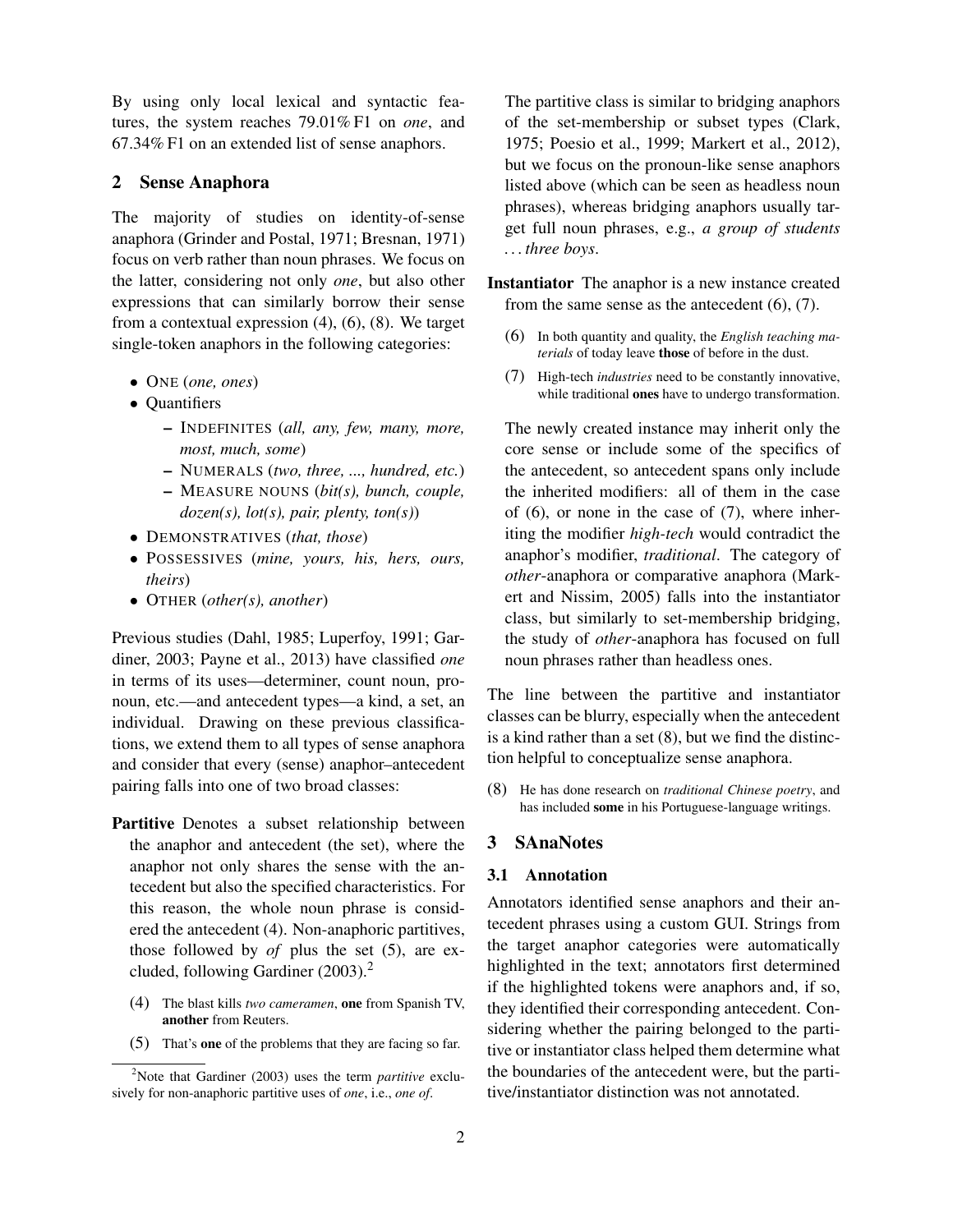By using only local lexical and syntactic features, the system reaches 79.01% F1 on *one*, and 67.34% F1 on an extended list of sense anaphors.

## 2 Sense Anaphora

The majority of studies on identity-of-sense anaphora (Grinder and Postal, 1971; Bresnan, 1971) focus on verb rather than noun phrases. We focus on the latter, considering not only *one*, but also other expressions that can similarly borrow their sense from a contextual expression (4), (6), (8). We target single-token anaphors in the following categories:

- ONE (*one, ones*)
- Quantifiers
	- INDEFINITES (*all, any, few, many, more, most, much, some*)
	- NUMERALS (*two, three, ..., hundred, etc.*)
	- MEASURE NOUNS (*bit(s), bunch, couple, dozen(s), lot(s), pair, plenty, ton(s)*)
- DEMONSTRATIVES (*that, those*)
- POSSESSIVES (*mine, yours, his, hers, ours, theirs*)
- OTHER (*other(s), another*)

Previous studies (Dahl, 1985; Luperfoy, 1991; Gardiner, 2003; Payne et al., 2013) have classified *one* in terms of its uses—determiner, count noun, pronoun, etc.—and antecedent types—a kind, a set, an individual. Drawing on these previous classifications, we extend them to all types of sense anaphora and consider that every (sense) anaphor–antecedent pairing falls into one of two broad classes:

- Partitive Denotes a subset relationship between the anaphor and antecedent (the set), where the anaphor not only shares the sense with the antecedent but also the specified characteristics. For this reason, the whole noun phrase is considered the antecedent (4). Non-anaphoric partitives, those followed by *of* plus the set (5), are excluded, following Gardiner (2003).<sup>2</sup>
	- (4) The blast kills *two cameramen*, one from Spanish TV, another from Reuters.
	- (5) That's one of the problems that they are facing so far.

The partitive class is similar to bridging anaphors of the set-membership or subset types (Clark, 1975; Poesio et al., 1999; Markert et al., 2012), but we focus on the pronoun-like sense anaphors listed above (which can be seen as headless noun phrases), whereas bridging anaphors usually target full noun phrases, e.g., *a group of students . . . three boys*.

Instantiator The anaphor is a new instance created from the same sense as the antecedent (6), (7).

- (6) In both quantity and quality, the *English teaching materials* of today leave those of before in the dust.
- (7) High-tech *industries* need to be constantly innovative, while traditional ones have to undergo transformation.

The newly created instance may inherit only the core sense or include some of the specifics of the antecedent, so antecedent spans only include the inherited modifiers: all of them in the case of (6), or none in the case of (7), where inheriting the modifier *high-tech* would contradict the anaphor's modifier, *traditional*. The category of *other*-anaphora or comparative anaphora (Markert and Nissim, 2005) falls into the instantiator class, but similarly to set-membership bridging, the study of *other*-anaphora has focused on full noun phrases rather than headless ones.

The line between the partitive and instantiator classes can be blurry, especially when the antecedent is a kind rather than a set (8), but we find the distinction helpful to conceptualize sense anaphora.

(8) He has done research on *traditional Chinese poetry*, and has included some in his Portuguese-language writings.

## 3 SAnaNotes

#### 3.1 Annotation

Annotators identified sense anaphors and their antecedent phrases using a custom GUI. Strings from the target anaphor categories were automatically highlighted in the text; annotators first determined if the highlighted tokens were anaphors and, if so, they identified their corresponding antecedent. Considering whether the pairing belonged to the partitive or instantiator class helped them determine what the boundaries of the antecedent were, but the partitive/instantiator distinction was not annotated.

<sup>2</sup>Note that Gardiner (2003) uses the term *partitive* exclusively for non-anaphoric partitive uses of *one*, i.e., *one of*.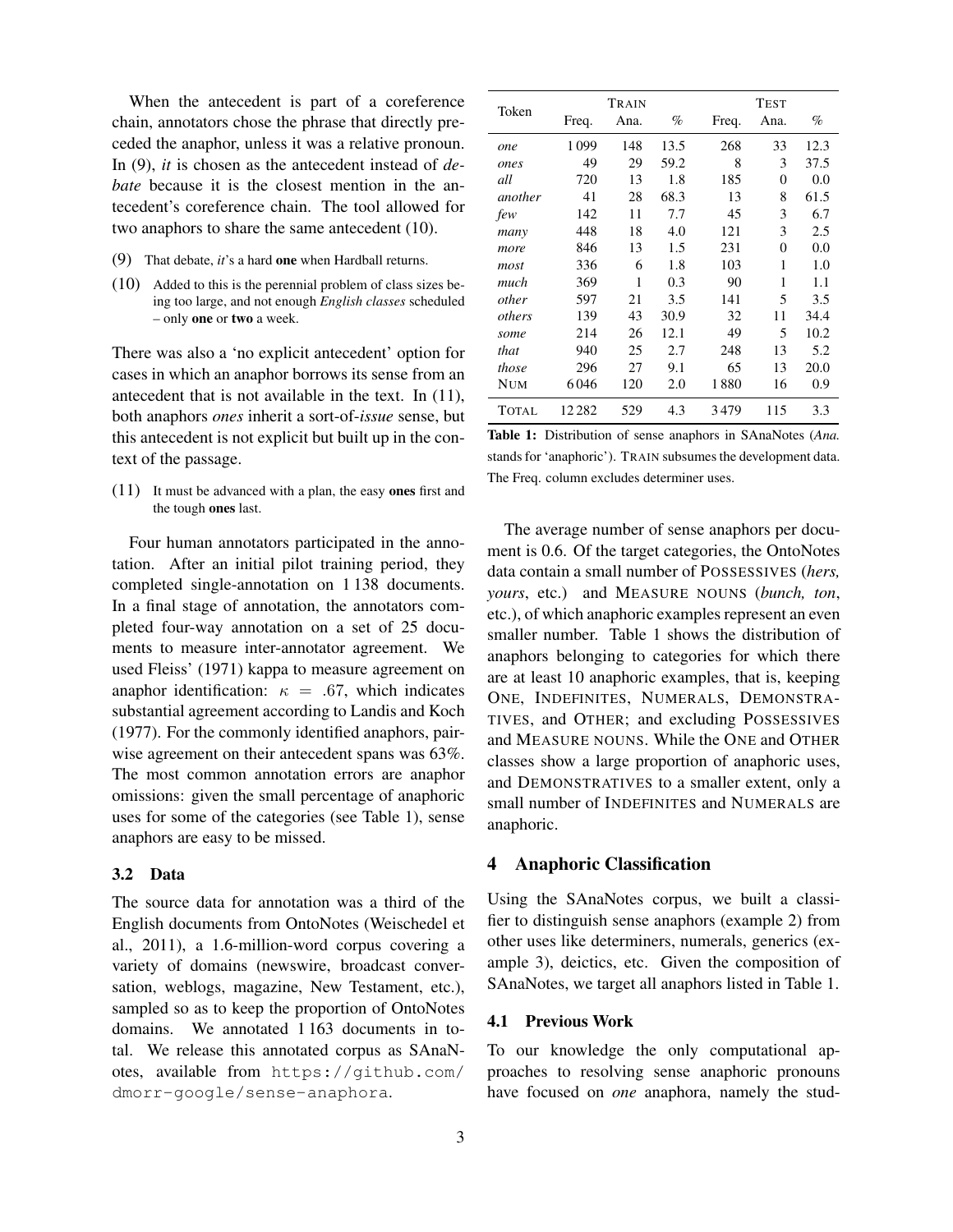When the antecedent is part of a coreference chain, annotators chose the phrase that directly preceded the anaphor, unless it was a relative pronoun. In (9), *it* is chosen as the antecedent instead of *debate* because it is the closest mention in the antecedent's coreference chain. The tool allowed for two anaphors to share the same antecedent (10).

- (9) That debate, *it*'s a hard one when Hardball returns.
- (10) Added to this is the perennial problem of class sizes being too large, and not enough *English classes* scheduled – only one or two a week.

There was also a 'no explicit antecedent' option for cases in which an anaphor borrows its sense from an antecedent that is not available in the text. In (11), both anaphors *ones* inherit a sort-of-*issue* sense, but this antecedent is not explicit but built up in the context of the passage.

(11) It must be advanced with a plan, the easy ones first and the tough ones last.

Four human annotators participated in the annotation. After an initial pilot training period, they completed single-annotation on 1 138 documents. In a final stage of annotation, the annotators completed four-way annotation on a set of 25 documents to measure inter-annotator agreement. We used Fleiss' (1971) kappa to measure agreement on anaphor identification:  $\kappa = .67$ , which indicates substantial agreement according to Landis and Koch (1977). For the commonly identified anaphors, pairwise agreement on their antecedent spans was 63%. The most common annotation errors are anaphor omissions: given the small percentage of anaphoric uses for some of the categories (see Table 1), sense anaphors are easy to be missed.

## 3.2 Data

The source data for annotation was a third of the English documents from OntoNotes (Weischedel et al., 2011), a 1.6-million-word corpus covering a variety of domains (newswire, broadcast conversation, weblogs, magazine, New Testament, etc.), sampled so as to keep the proportion of OntoNotes domains. We annotated 1 163 documents in total. We release this annotated corpus as SAnaNotes, available from https://github.com/ dmorr-google/sense-anaphora.

| Token      |        | Train |      |       | <b>TEST</b> |      |
|------------|--------|-------|------|-------|-------------|------|
|            | Freq.  | Ana.  | %    | Freq. | Ana.        | %    |
| one        | 1099   | 148   | 13.5 | 268   | 33          | 12.3 |
| ones       | 49     | 29    | 59.2 | 8     | 3           | 37.5 |
| all        | 720    | 13    | 1.8  | 185   | 0           | 0.0  |
| another    | 41     | 28    | 68.3 | 13    | 8           | 61.5 |
| few        | 142    | 11    | 7.7  | 45    | 3           | 6.7  |
| many       | 448    | 18    | 4.0  | 121   | 3           | 2.5  |
| more       | 846    | 13    | 1.5  | 231   | 0           | 0.0  |
| most       | 336    | 6     | 1.8  | 103   | 1           | 1.0  |
| much       | 369    | 1     | 0.3  | 90    | 1           | 1.1  |
| other      | 597    | 21    | 3.5  | 141   | 5           | 3.5  |
| others     | 139    | 43    | 30.9 | 32    | 11          | 34.4 |
| some       | 214    | 26    | 12.1 | 49    | 5           | 10.2 |
| that       | 940    | 25    | 2.7  | 248   | 13          | 5.2  |
| those      | 296    | 27    | 9.1  | 65    | 13          | 20.0 |
| <b>NUM</b> | 6046   | 120   | 2.0  | 1880  | 16          | 0.9  |
| TOTAL      | 12 282 | 529   | 4.3  | 3479  | 115         | 3.3  |

Table 1: Distribution of sense anaphors in SAnaNotes (*Ana.* stands for 'anaphoric'). TRAIN subsumes the development data. The Freq. column excludes determiner uses.

The average number of sense anaphors per document is 0.6. Of the target categories, the OntoNotes data contain a small number of POSSESSIVES (*hers, yours*, etc.) and MEASURE NOUNS (*bunch, ton*, etc.), of which anaphoric examples represent an even smaller number. Table 1 shows the distribution of anaphors belonging to categories for which there are at least 10 anaphoric examples, that is, keeping ONE, INDEFINITES, NUMERALS, DEMONSTRA-TIVES, and OTHER; and excluding POSSESSIVES and MEASURE NOUNS. While the ONE and OTHER classes show a large proportion of anaphoric uses, and DEMONSTRATIVES to a smaller extent, only a small number of INDEFINITES and NUMERALS are anaphoric.

## 4 Anaphoric Classification

Using the SAnaNotes corpus, we built a classifier to distinguish sense anaphors (example 2) from other uses like determiners, numerals, generics (example 3), deictics, etc. Given the composition of SAnaNotes, we target all anaphors listed in Table 1.

#### 4.1 Previous Work

To our knowledge the only computational approaches to resolving sense anaphoric pronouns have focused on *one* anaphora, namely the stud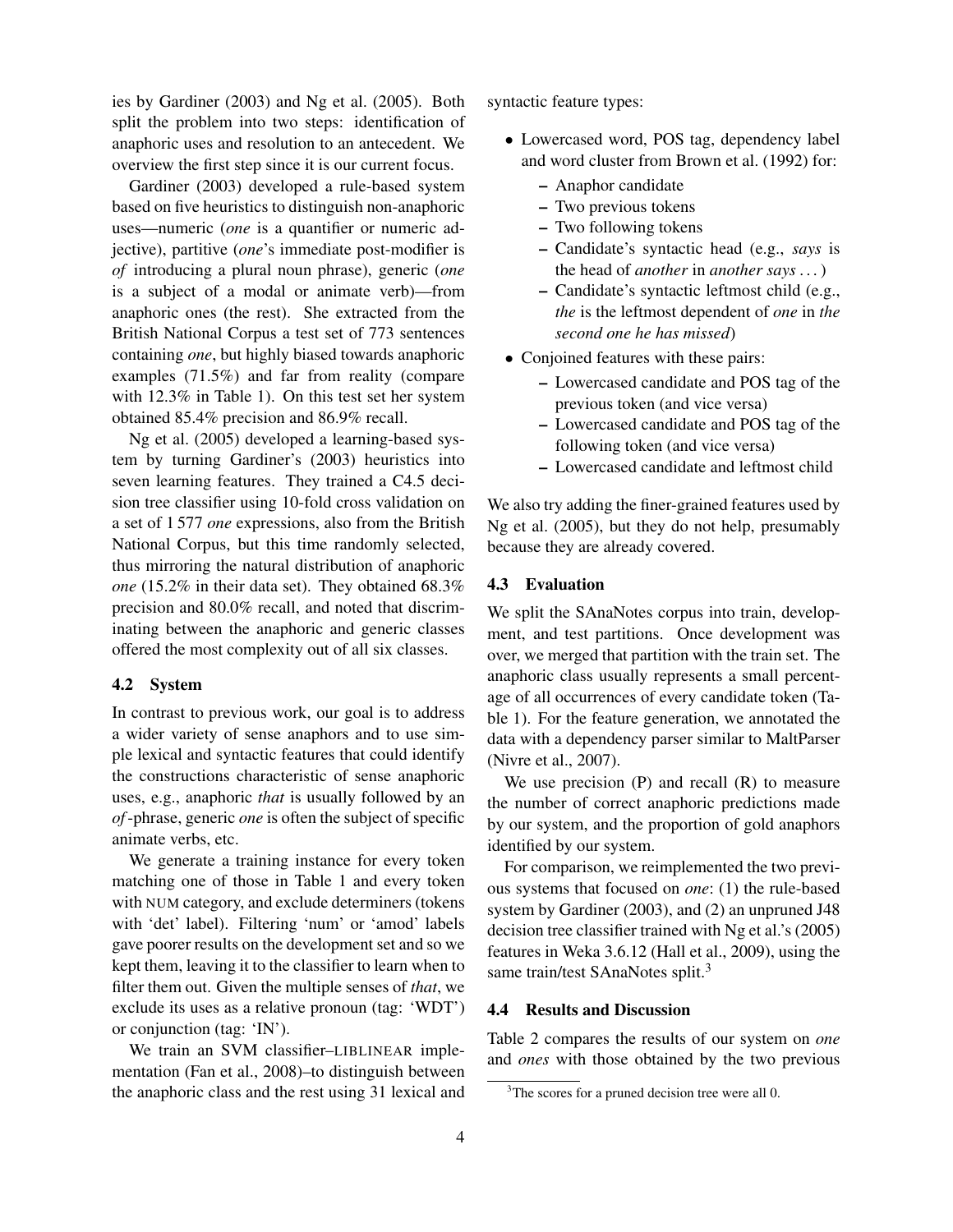ies by Gardiner (2003) and Ng et al. (2005). Both split the problem into two steps: identification of anaphoric uses and resolution to an antecedent. We overview the first step since it is our current focus.

Gardiner (2003) developed a rule-based system based on five heuristics to distinguish non-anaphoric uses—numeric (*one* is a quantifier or numeric adjective), partitive (*one*'s immediate post-modifier is *of* introducing a plural noun phrase), generic (*one* is a subject of a modal or animate verb)—from anaphoric ones (the rest). She extracted from the British National Corpus a test set of 773 sentences containing *one*, but highly biased towards anaphoric examples (71.5%) and far from reality (compare with 12.3% in Table 1). On this test set her system obtained 85.4% precision and 86.9% recall.

Ng et al. (2005) developed a learning-based system by turning Gardiner's (2003) heuristics into seven learning features. They trained a C4.5 decision tree classifier using 10-fold cross validation on a set of 1 577 *one* expressions, also from the British National Corpus, but this time randomly selected, thus mirroring the natural distribution of anaphoric *one* (15.2% in their data set). They obtained 68.3% precision and 80.0% recall, and noted that discriminating between the anaphoric and generic classes offered the most complexity out of all six classes.

#### 4.2 System

In contrast to previous work, our goal is to address a wider variety of sense anaphors and to use simple lexical and syntactic features that could identify the constructions characteristic of sense anaphoric uses, e.g., anaphoric *that* is usually followed by an *of*-phrase, generic *one* is often the subject of specific animate verbs, etc.

We generate a training instance for every token matching one of those in Table 1 and every token with NUM category, and exclude determiners (tokens with 'det' label). Filtering 'num' or 'amod' labels gave poorer results on the development set and so we kept them, leaving it to the classifier to learn when to filter them out. Given the multiple senses of *that*, we exclude its uses as a relative pronoun (tag: 'WDT') or conjunction (tag: 'IN').

We train an SVM classifier–LIBLINEAR implementation (Fan et al., 2008)–to distinguish between the anaphoric class and the rest using 31 lexical and syntactic feature types:

- Lowercased word, POS tag, dependency label and word cluster from Brown et al. (1992) for:
	- Anaphor candidate
	- Two previous tokens
	- Two following tokens
	- Candidate's syntactic head (e.g., *says* is the head of *another* in *another says . . .*)
	- Candidate's syntactic leftmost child (e.g., *the* is the leftmost dependent of *one* in *the second one he has missed*)
- Conjoined features with these pairs:
	- Lowercased candidate and POS tag of the previous token (and vice versa)
	- Lowercased candidate and POS tag of the following token (and vice versa)
	- Lowercased candidate and leftmost child

We also try adding the finer-grained features used by Ng et al. (2005), but they do not help, presumably because they are already covered.

#### 4.3 Evaluation

We split the SAnaNotes corpus into train, development, and test partitions. Once development was over, we merged that partition with the train set. The anaphoric class usually represents a small percentage of all occurrences of every candidate token (Table 1). For the feature generation, we annotated the data with a dependency parser similar to MaltParser (Nivre et al., 2007).

We use precision  $(P)$  and recall  $(R)$  to measure the number of correct anaphoric predictions made by our system, and the proportion of gold anaphors identified by our system.

For comparison, we reimplemented the two previous systems that focused on *one*: (1) the rule-based system by Gardiner (2003), and (2) an unpruned J48 decision tree classifier trained with Ng et al.'s (2005) features in Weka 3.6.12 (Hall et al., 2009), using the same train/test SAnaNotes split.<sup>3</sup>

## 4.4 Results and Discussion

Table 2 compares the results of our system on *one* and *ones* with those obtained by the two previous

<sup>&</sup>lt;sup>3</sup>The scores for a pruned decision tree were all 0.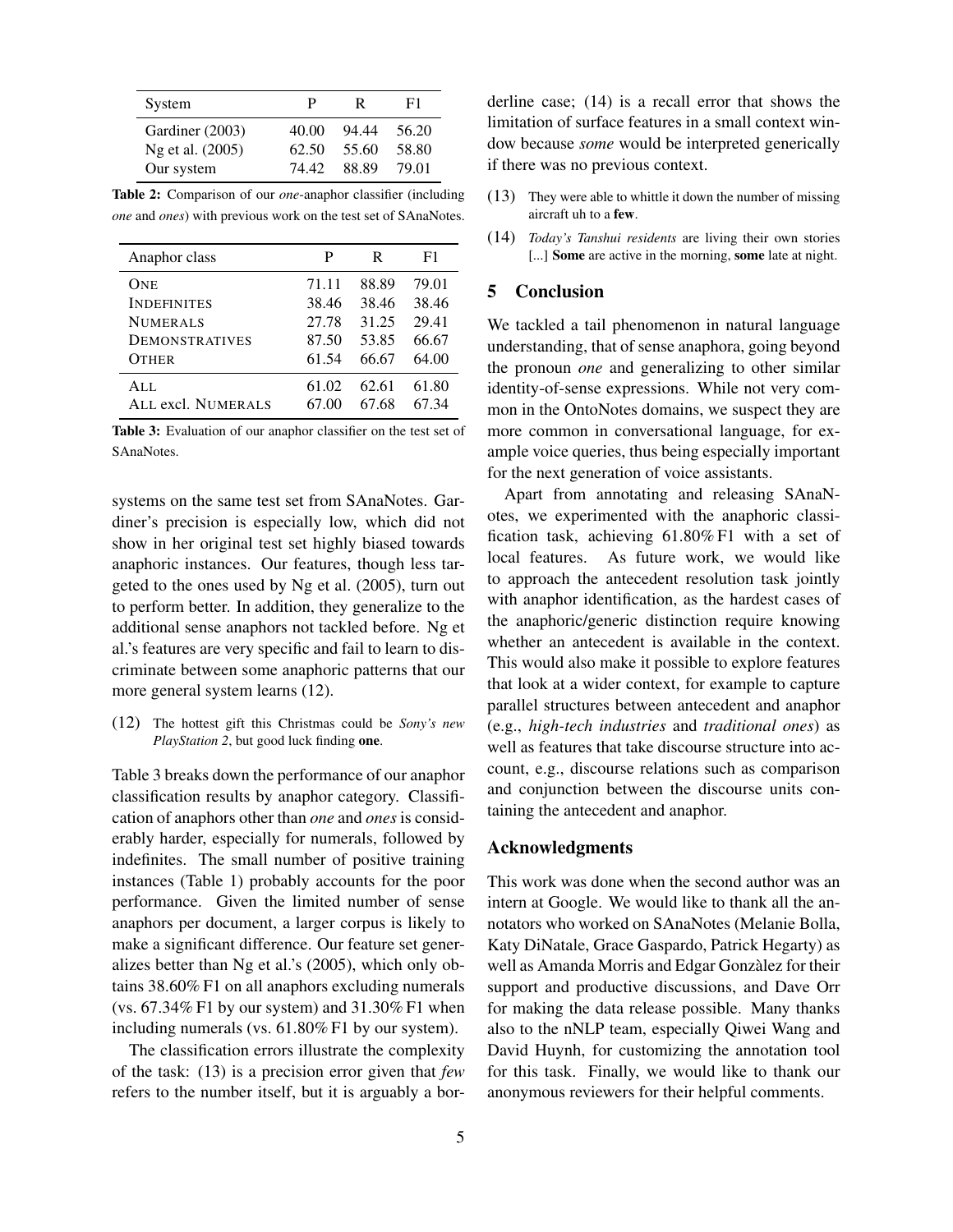| System           | Ρ     | R     | F1    |
|------------------|-------|-------|-------|
| Gardiner (2003)  | 40.00 | 94.44 | 56.20 |
| Ng et al. (2005) | 62.50 | 55.60 | 58.80 |
| Our system       | 74.42 | 88.89 | 79.01 |

Table 2: Comparison of our *one*-anaphor classifier (including *one* and *ones*) with previous work on the test set of SAnaNotes.

| Anaphor class              | P              | R              | F1             |
|----------------------------|----------------|----------------|----------------|
| One                        | 71.11          | 88.89          | 79.01          |
| <b>INDEFINITES</b>         | 38.46          | 38.46          | 38.46          |
| <b>NUMERALS</b>            | 27.78          | 31.25          | 29.41          |
| <b>DEMONSTRATIVES</b>      | 87.50          | 53.85          | 66.67          |
| <b>OTHER</b>               | 61.54          | 66.67          | 64.00          |
| AI.L<br>ALL excl. NUMERALS | 61.02<br>67.00 | 62.61<br>67.68 | 61.80<br>67.34 |

Table 3: Evaluation of our anaphor classifier on the test set of SAnaNotes.

systems on the same test set from SAnaNotes. Gardiner's precision is especially low, which did not show in her original test set highly biased towards anaphoric instances. Our features, though less targeted to the ones used by Ng et al. (2005), turn out to perform better. In addition, they generalize to the additional sense anaphors not tackled before. Ng et al.'s features are very specific and fail to learn to discriminate between some anaphoric patterns that our more general system learns (12).

(12) The hottest gift this Christmas could be *Sony's new PlayStation 2*, but good luck finding one.

Table 3 breaks down the performance of our anaphor classification results by anaphor category. Classification of anaphors other than *one* and *ones* is considerably harder, especially for numerals, followed by indefinites. The small number of positive training instances (Table 1) probably accounts for the poor performance. Given the limited number of sense anaphors per document, a larger corpus is likely to make a significant difference. Our feature set generalizes better than Ng et al.'s (2005), which only obtains 38.60% F1 on all anaphors excluding numerals (vs.  $67.34\%$  F1 by our system) and  $31.30\%$  F1 when including numerals (vs. 61.80% F1 by our system).

The classification errors illustrate the complexity of the task: (13) is a precision error given that *few* refers to the number itself, but it is arguably a borderline case; (14) is a recall error that shows the limitation of surface features in a small context window because *some* would be interpreted generically if there was no previous context.

- (13) They were able to whittle it down the number of missing aircraft uh to a few.
- (14) *Today's Tanshui residents* are living their own stories [...] **Some** are active in the morning, some late at night.

## 5 Conclusion

We tackled a tail phenomenon in natural language understanding, that of sense anaphora, going beyond the pronoun *one* and generalizing to other similar identity-of-sense expressions. While not very common in the OntoNotes domains, we suspect they are more common in conversational language, for example voice queries, thus being especially important for the next generation of voice assistants.

Apart from annotating and releasing SAnaNotes, we experimented with the anaphoric classification task, achieving 61.80% F1 with a set of local features. As future work, we would like to approach the antecedent resolution task jointly with anaphor identification, as the hardest cases of the anaphoric/generic distinction require knowing whether an antecedent is available in the context. This would also make it possible to explore features that look at a wider context, for example to capture parallel structures between antecedent and anaphor (e.g., *high-tech industries* and *traditional ones*) as well as features that take discourse structure into account, e.g., discourse relations such as comparison and conjunction between the discourse units containing the antecedent and anaphor.

#### Acknowledgments

This work was done when the second author was an intern at Google. We would like to thank all the annotators who worked on SAnaNotes (Melanie Bolla, Katy DiNatale, Grace Gaspardo, Patrick Hegarty) as well as Amanda Morris and Edgar Gonzalez for their ` support and productive discussions, and Dave Orr for making the data release possible. Many thanks also to the nNLP team, especially Qiwei Wang and David Huynh, for customizing the annotation tool for this task. Finally, we would like to thank our anonymous reviewers for their helpful comments.